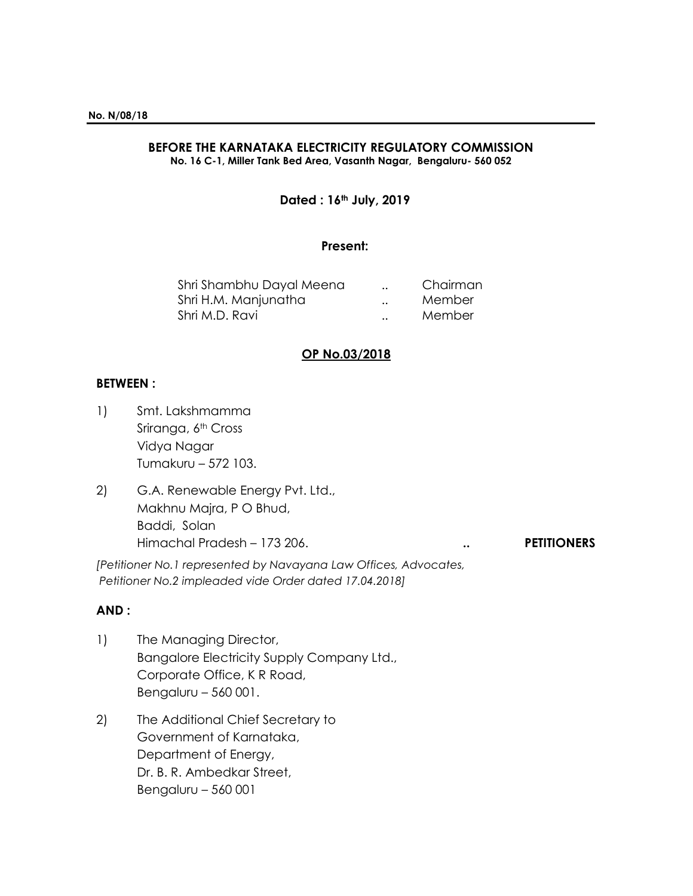# **BEFORE THE KARNATAKA ELECTRICITY REGULATORY COMMISSION**

**No. 16 C-1, Miller Tank Bed Area, Vasanth Nagar, Bengaluru- 560 052**

## **Dated : 16th July, 2019**

#### **Present:**

| Shri Shambhu Dayal Meena<br>Shri H.M. Manjunatha | $\ddot{\phantom{a}}$ | Chairman<br>Member |
|--------------------------------------------------|----------------------|--------------------|
|                                                  | $\ddot{\phantom{0}}$ |                    |
| Shri M.D. Ravi                                   | $\cdot$ .            | Member             |

## **OP No.03/2018**

#### **BETWEEN :**

- 1) Smt. Lakshmamma Sriranga, 6<sup>th</sup> Cross Vidya Nagar Tumakuru – 572 103.
- 2) G.A. Renewable Energy Pvt. Ltd., Makhnu Majra, P O Bhud, Baddi, Solan Himachal Pradesh – 173 206. **.. PETITIONERS**

*[Petitioner No.1 represented by Navayana Law Offices, Advocates, Petitioner No.2 impleaded vide Order dated 17.04.2018]*

## **AND :**

- 1) The Managing Director, Bangalore Electricity Supply Company Ltd., Corporate Office, K R Road, Bengaluru – 560 001.
- 2) The Additional Chief Secretary to Government of Karnataka, Department of Energy, Dr. B. R. Ambedkar Street, Bengaluru – 560 001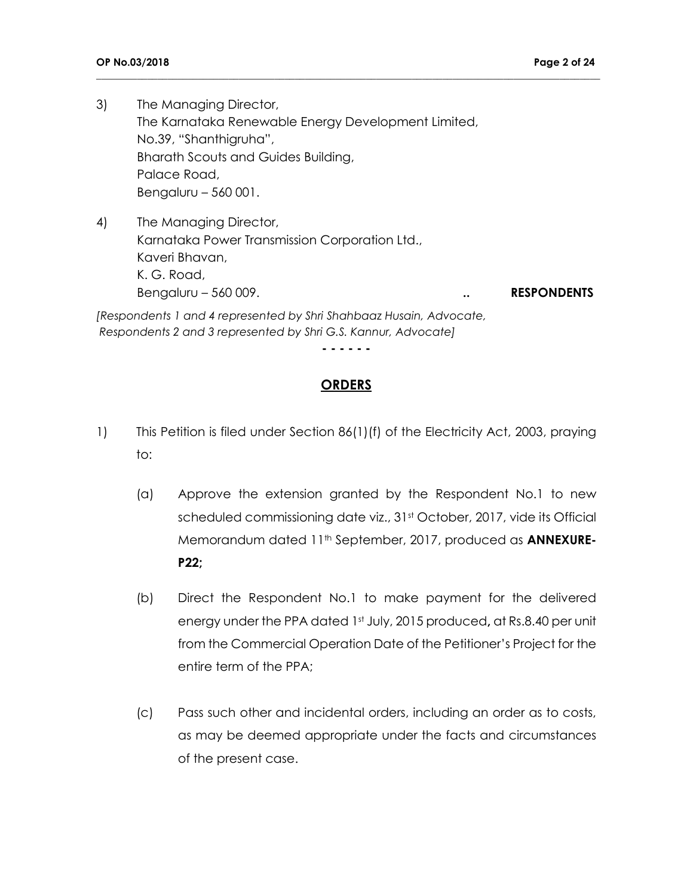3) The Managing Director, The Karnataka Renewable Energy Development Limited, No.39, "Shanthigruha", Bharath Scouts and Guides Building, Palace Road, Bengaluru – 560 001.

4) The Managing Director, Karnataka Power Transmission Corporation Ltd., Kaveri Bhavan, K. G. Road, Bengaluru – 560 009. **... RESPONDENTS** 

*[Respondents 1 and 4 represented by Shri Shahbaaz Husain, Advocate, Respondents 2 and 3 represented by Shri G.S. Kannur, Advocate]*

**- - - - - -**

**\_\_\_\_\_\_\_\_\_\_\_\_\_\_\_\_\_\_\_\_\_\_\_\_\_\_\_\_\_\_\_\_\_\_\_\_\_\_\_\_\_\_\_\_\_\_\_\_\_\_\_\_\_\_\_\_\_\_\_\_\_\_\_\_\_\_\_\_\_\_\_\_\_\_\_\_\_\_\_\_\_\_\_\_\_\_\_\_\_\_\_\_\_\_\_\_\_\_\_**

## **ORDERS**

- 1) This Petition is filed under Section 86(1)(f) of the Electricity Act, 2003, praying to:
	- (a) Approve the extension granted by the Respondent No.1 to new scheduled commissioning date viz., 31<sup>st</sup> October, 2017, vide its Official Memorandum dated 11th September, 2017, produced as **ANNEXURE-P22;**
	- (b) Direct the Respondent No.1 to make payment for the delivered energy under the PPA dated 1st July, 2015 produced**,** at Rs.8.40 per unit from the Commercial Operation Date of the Petitioner's Project for the entire term of the PPA;
	- (c) Pass such other and incidental orders, including an order as to costs, as may be deemed appropriate under the facts and circumstances of the present case.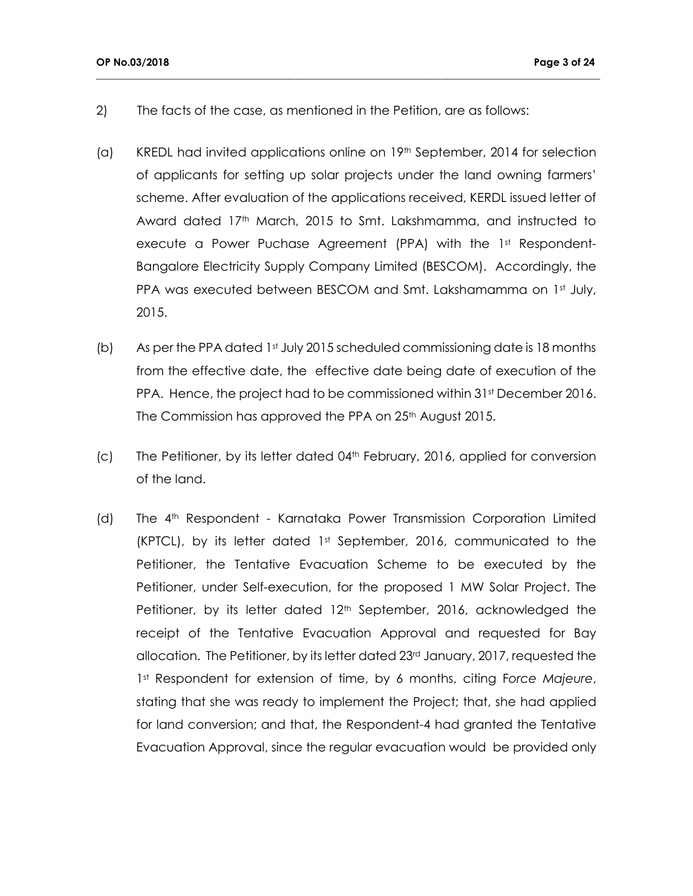- 2) The facts of the case, as mentioned in the Petition, are as follows:
- (a) KREDL had invited applications online on 19<sup>th</sup> September, 2014 for selection of applicants for setting up solar projects under the land owning farmers' scheme. After evaluation of the applications received, KERDL issued letter of Award dated 17<sup>th</sup> March, 2015 to Smt. Lakshmamma, and instructed to execute a Power Puchase Agreement (PPA) with the 1st Respondent-Bangalore Electricity Supply Company Limited (BESCOM). Accordingly, the PPA was executed between BESCOM and Smt. Lakshamamma on 1st July, 2015.

- (b) As per the PPA dated 1st July 2015 scheduled commissioning date is 18 months from the effective date, the effective date being date of execution of the PPA. Hence, the project had to be commissioned within 31st December 2016. The Commission has approved the PPA on 25<sup>th</sup> August 2015.
- $(c)$  The Petitioner, by its letter dated 04<sup>th</sup> February, 2016, applied for conversion of the land.
- (d) The 4th Respondent Karnataka Power Transmission Corporation Limited (KPTCL), by its letter dated 1<sup>st</sup> September, 2016, communicated to the Petitioner, the Tentative Evacuation Scheme to be executed by the Petitioner, under Self-execution, for the proposed 1 MW Solar Project. The Petitioner, by its letter dated 12<sup>th</sup> September, 2016, acknowledged the receipt of the Tentative Evacuation Approval and requested for Bay allocation. The Petitioner, by its letter dated 23rd January, 2017, requested the 1st Respondent for extension of time, by 6 months, citing F*orce Majeure*, stating that she was ready to implement the Project; that, she had applied for land conversion; and that, the Respondent-4 had granted the Tentative Evacuation Approval, since the regular evacuation would be provided only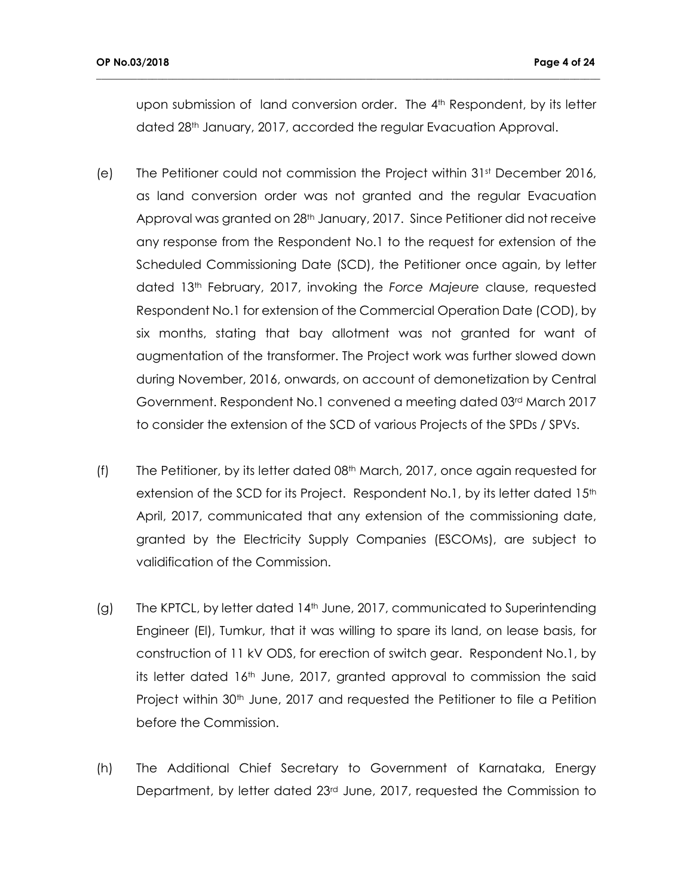upon submission of land conversion order. The 4<sup>th</sup> Respondent, by its letter dated 28<sup>th</sup> January, 2017, accorded the regular Evacuation Approval.

- (e) The Petitioner could not commission the Project within  $31<sup>st</sup>$  December 2016, as land conversion order was not granted and the regular Evacuation Approval was granted on 28th January, 2017. Since Petitioner did not receive any response from the Respondent No.1 to the request for extension of the Scheduled Commissioning Date (SCD), the Petitioner once again, by letter dated 13th February, 2017, invoking the *Force Majeure* clause, requested Respondent No.1 for extension of the Commercial Operation Date (COD), by six months, stating that bay allotment was not granted for want of augmentation of the transformer. The Project work was further slowed down during November, 2016, onwards, on account of demonetization by Central Government. Respondent No.1 convened a meeting dated 03rd March 2017 to consider the extension of the SCD of various Projects of the SPDs / SPVs.
- (f) The Petitioner, by its letter dated 08th March, 2017, once again requested for extension of the SCD for its Project. Respondent No.1, by its letter dated 15<sup>th</sup> April, 2017, communicated that any extension of the commissioning date, granted by the Electricity Supply Companies (ESCOMs), are subject to validification of the Commission.
- (g) The KPTCL, by letter dated 14th June, 2017, communicated to Superintending Engineer (El), Tumkur, that it was willing to spare its land, on lease basis, for construction of 11 kV ODS, for erection of switch gear. Respondent No.1, by its letter dated 16<sup>th</sup> June, 2017, granted approval to commission the said Project within 30<sup>th</sup> June, 2017 and requested the Petitioner to file a Petition before the Commission.
- (h) The Additional Chief Secretary to Government of Karnataka, Energy Department, by letter dated 23rd June, 2017, requested the Commission to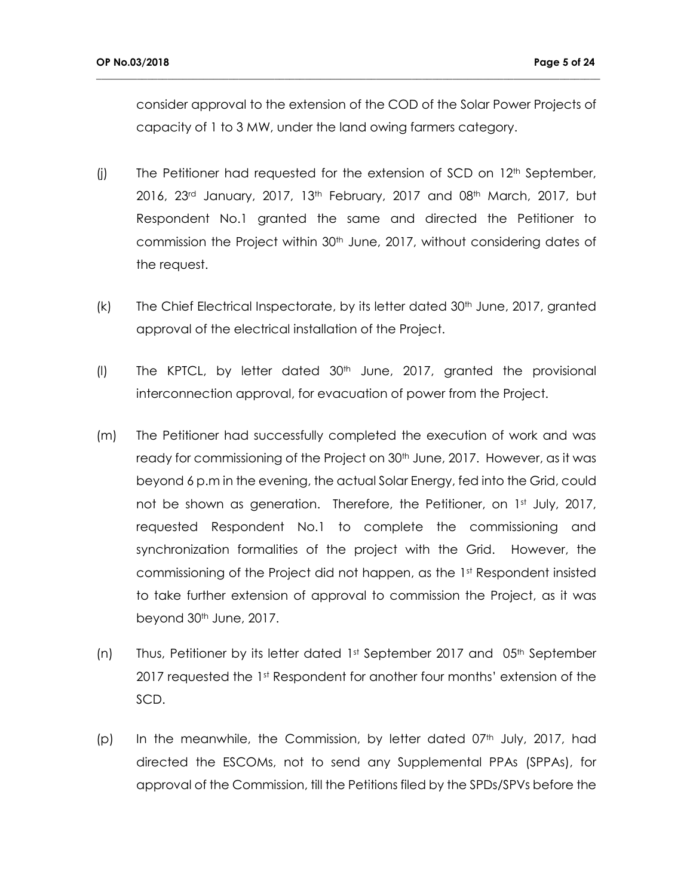consider approval to the extension of the COD of the Solar Power Projects of capacity of 1 to 3 MW, under the land owing farmers category.

- (j) The Petitioner had requested for the extension of SCD on  $12<sup>th</sup>$  September, 2016, 23<sup>rd</sup> January, 2017, 13<sup>th</sup> February, 2017 and 08<sup>th</sup> March, 2017, but Respondent No.1 granted the same and directed the Petitioner to commission the Project within 30<sup>th</sup> June, 2017, without considering dates of the request.
- $(k)$  The Chief Electrical Inspectorate, by its letter dated  $30<sup>th</sup>$  June, 2017, granted approval of the electrical installation of the Project.
- (I) The KPTCL, by letter dated  $30<sup>th</sup>$  June, 2017, granted the provisional interconnection approval, for evacuation of power from the Project.
- (m) The Petitioner had successfully completed the execution of work and was ready for commissioning of the Project on 30<sup>th</sup> June, 2017. However, as it was beyond 6 p.m in the evening, the actual Solar Energy, fed into the Grid, could not be shown as generation. Therefore, the Petitioner, on 1st July, 2017, requested Respondent No.1 to complete the commissioning and synchronization formalities of the project with the Grid. However, the commissioning of the Project did not happen, as the 1<sup>st</sup> Respondent insisted to take further extension of approval to commission the Project, as it was beyond 30<sup>th</sup> June, 2017.
- (n) Thus, Petitioner by its letter dated  $1<sup>st</sup>$  September 2017 and 05<sup>th</sup> September 2017 requested the 1<sup>st</sup> Respondent for another four months' extension of the SCD.
- (p) In the meanwhile, the Commission, by letter dated  $07<sup>th</sup>$  July, 2017, had directed the ESCOMs, not to send any Supplemental PPAs (SPPAs), for approval of the Commission, till the Petitions filed by the SPDs/SPVs before the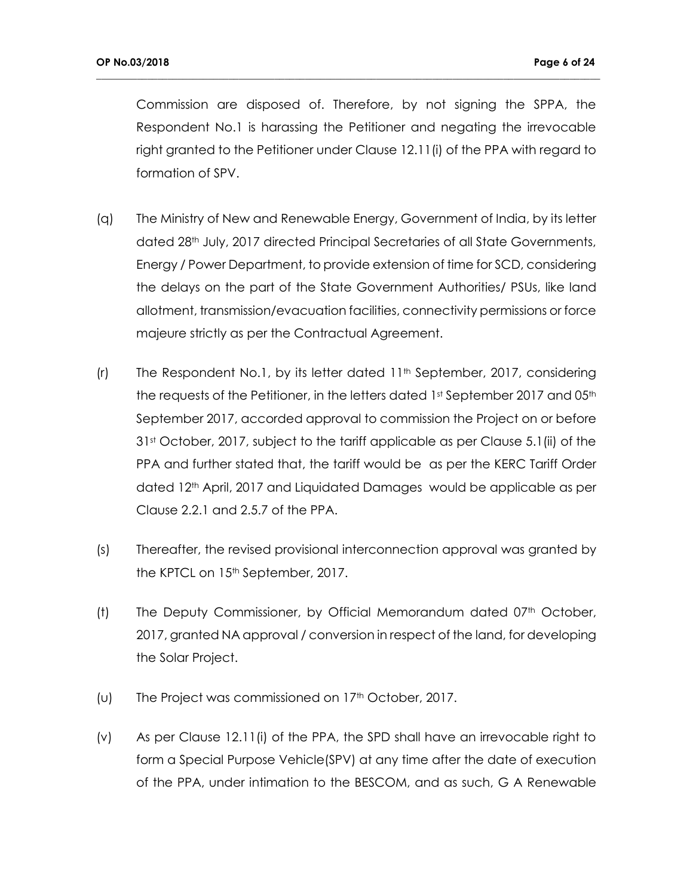Commission are disposed of. Therefore, by not signing the SPPA, the Respondent No.1 is harassing the Petitioner and negating the irrevocable right granted to the Petitioner under Clause 12.11(i) of the PPA with regard to formation of SPV.

- (q) The Ministry of New and Renewable Energy, Government of India, by its letter dated 28<sup>th</sup> July, 2017 directed Principal Secretaries of all State Governments, Energy / Power Department, to provide extension of time for SCD, considering the delays on the part of the State Government Authorities/ PSUs, like land allotment, transmission/evacuation facilities, connectivity permissions or force majeure strictly as per the Contractual Agreement.
- (r) The Respondent No.1, by its letter dated 11th September, 2017, considering the requests of the Petitioner, in the letters dated 1st September 2017 and 05th September 2017, accorded approval to commission the Project on or before 31st October, 2017, subject to the tariff applicable as per Clause 5.1(ii) of the PPA and further stated that, the tariff would be as per the KERC Tariff Order dated 12<sup>th</sup> April, 2017 and Liquidated Damages would be applicable as per Clause 2.2.1 and 2.5.7 of the PPA.
- (s) Thereafter, the revised provisional interconnection approval was granted by the KPTCL on 15<sup>th</sup> September, 2017.
- (t) The Deputy Commissioner, by Official Memorandum dated  $07<sup>th</sup>$  October, 2017, granted NA approval / conversion in respect of the land, for developing the Solar Project.
- (u) The Project was commissioned on  $17<sup>th</sup>$  October, 2017.
- (v) As per Clause 12.11(i) of the PPA, the SPD shall have an irrevocable right to form a Special Purpose Vehicle(SPV) at any time after the date of execution of the PPA, under intimation to the BESCOM, and as such, G A Renewable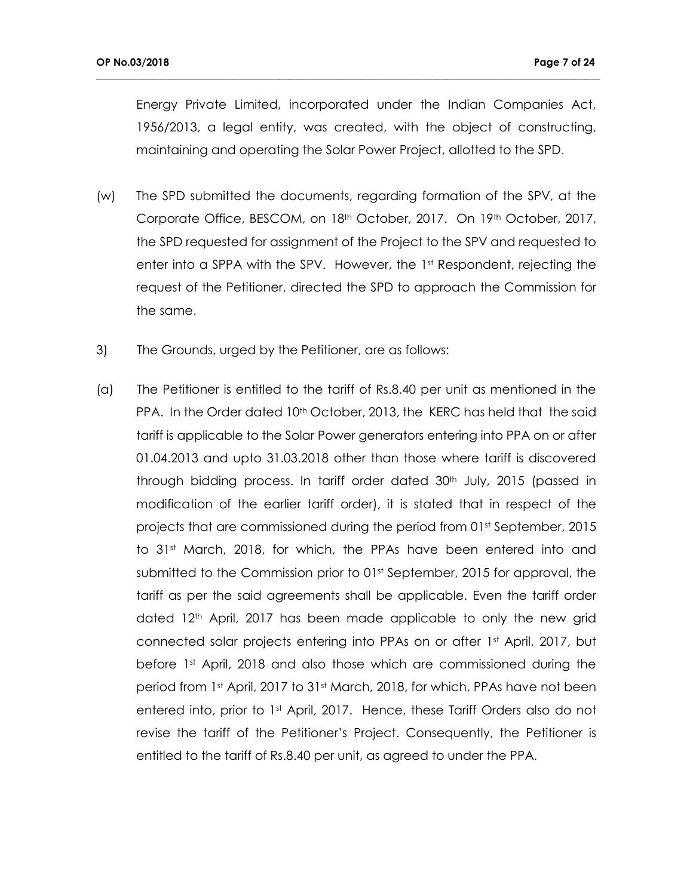Energy Private Limited, incorporated under the Indian Companies Act, 1956/2013, a legal entity, was created, with the object of constructing, maintaining and operating the Solar Power Project, allotted to the SPD.

- (w) The SPD submitted the documents, regarding formation of the SPV, at the Corporate Office, BESCOM, on 18<sup>th</sup> October, 2017. On 19<sup>th</sup> October, 2017, the SPD requested for assignment of the Project to the SPV and requested to enter into a SPPA with the SPV. However, the 1st Respondent, rejecting the request of the Petitioner, directed the SPD to approach the Commission for the same.
- 3) The Grounds, urged by the Petitioner, are as follows:
- (a) The Petitioner is entitled to the tariff of Rs.8.40 per unit as mentioned in the PPA. In the Order dated 10<sup>th</sup> October, 2013, the KERC has held that the said tariff is applicable to the Solar Power generators entering into PPA on or after 01.04.2013 and upto 31.03.2018 other than those where tariff is discovered through bidding process. In tariff order dated 30<sup>th</sup> July, 2015 (passed in modification of the earlier tariff order), it is stated that in respect of the projects that are commissioned during the period from 01st September, 2015 to 31<sup>st</sup> March, 2018, for which, the PPAs have been entered into and submitted to the Commission prior to 01<sup>st</sup> September, 2015 for approval, the tariff as per the said agreements shall be applicable. Even the tariff order dated 12<sup>th</sup> April, 2017 has been made applicable to only the new grid connected solar projects entering into PPAs on or after 1st April, 2017, but before 1<sup>st</sup> April, 2018 and also those which are commissioned during the period from 1st April, 2017 to 31st March, 2018, for which, PPAs have not been entered into, prior to 1st April, 2017. Hence, these Tariff Orders also do not revise the tariff of the Petitioner's Project. Consequently, the Petitioner is entitled to the tariff of Rs.8.40 per unit, as agreed to under the PPA.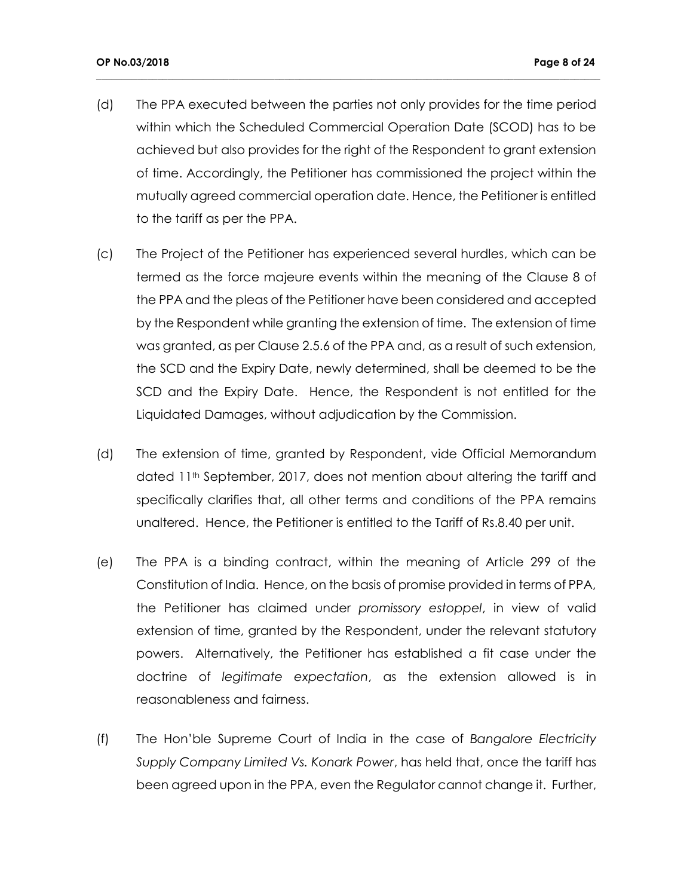(d) The PPA executed between the parties not only provides for the time period within which the Scheduled Commercial Operation Date (SCOD) has to be achieved but also provides for the right of the Respondent to grant extension of time. Accordingly, the Petitioner has commissioned the project within the mutually agreed commercial operation date. Hence, the Petitioner is entitled to the tariff as per the PPA.

- (c) The Project of the Petitioner has experienced several hurdles, which can be termed as the force majeure events within the meaning of the Clause 8 of the PPA and the pleas of the Petitioner have been considered and accepted by the Respondent while granting the extension of time. The extension of time was granted, as per Clause 2.5.6 of the PPA and, as a result of such extension, the SCD and the Expiry Date, newly determined, shall be deemed to be the SCD and the Expiry Date. Hence, the Respondent is not entitled for the Liquidated Damages, without adjudication by the Commission.
- (d) The extension of time, granted by Respondent, vide Official Memorandum dated 11<sup>th</sup> September, 2017, does not mention about altering the tariff and specifically clarifies that, all other terms and conditions of the PPA remains unaltered. Hence, the Petitioner is entitled to the Tariff of Rs.8.40 per unit.
- (e) The PPA is a binding contract, within the meaning of Article 299 of the Constitution of India. Hence, on the basis of promise provided in terms of PPA, the Petitioner has claimed under *promissory estoppel*, in view of valid extension of time, granted by the Respondent, under the relevant statutory powers. Alternatively, the Petitioner has established a fit case under the doctrine of *legitimate expectation*, as the extension allowed is in reasonableness and fairness.
- (f) The Hon'ble Supreme Court of India in the case of *Bangalore Electricity Supply Company Limited Vs. Konark Power*, has held that, once the tariff has been agreed upon in the PPA, even the Regulator cannot change it. Further,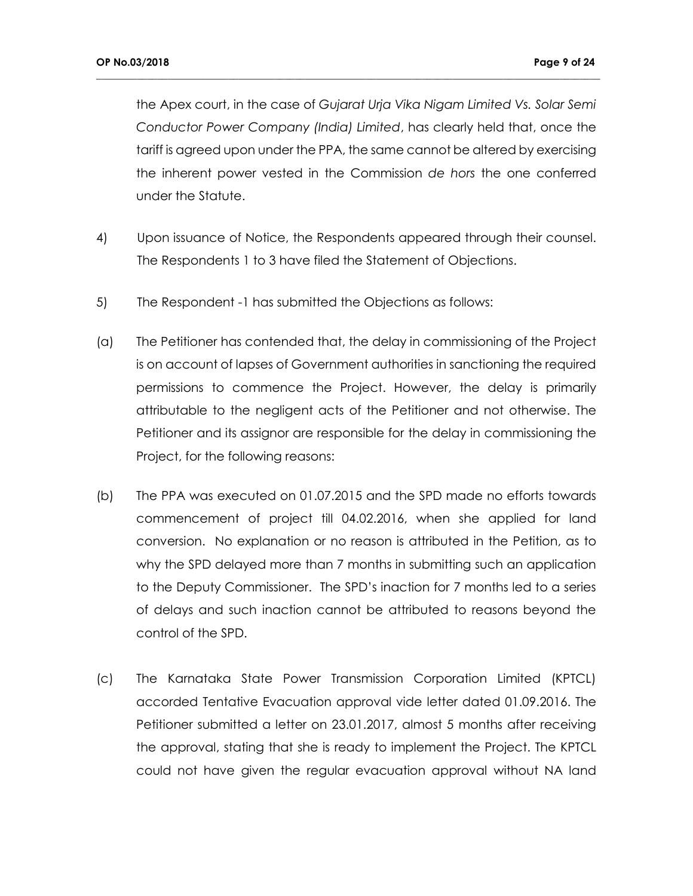the Apex court, in the case of *Gujarat Urja Vika Nigam Limited Vs. Solar Semi Conductor Power Company (India) Limited*, has clearly held that, once the tariff is agreed upon under the PPA, the same cannot be altered by exercising the inherent power vested in the Commission *de hors* the one conferred under the Statute.

- 4) Upon issuance of Notice, the Respondents appeared through their counsel. The Respondents 1 to 3 have filed the Statement of Objections.
- 5) The Respondent -1 has submitted the Objections as follows:
- (a) The Petitioner has contended that, the delay in commissioning of the Project is on account of lapses of Government authorities in sanctioning the required permissions to commence the Project. However, the delay is primarily attributable to the negligent acts of the Petitioner and not otherwise. The Petitioner and its assignor are responsible for the delay in commissioning the Project, for the following reasons:
- (b) The PPA was executed on 01.07.2015 and the SPD made no efforts towards commencement of project till 04.02.2016, when she applied for land conversion. No explanation or no reason is attributed in the Petition, as to why the SPD delayed more than 7 months in submitting such an application to the Deputy Commissioner. The SPD's inaction for 7 months led to a series of delays and such inaction cannot be attributed to reasons beyond the control of the SPD.
- (c) The Karnataka State Power Transmission Corporation Limited (KPTCL) accorded Tentative Evacuation approval vide letter dated 01.09.2016. The Petitioner submitted a letter on 23.01.2017, almost 5 months after receiving the approval, stating that she is ready to implement the Project. The KPTCL could not have given the regular evacuation approval without NA land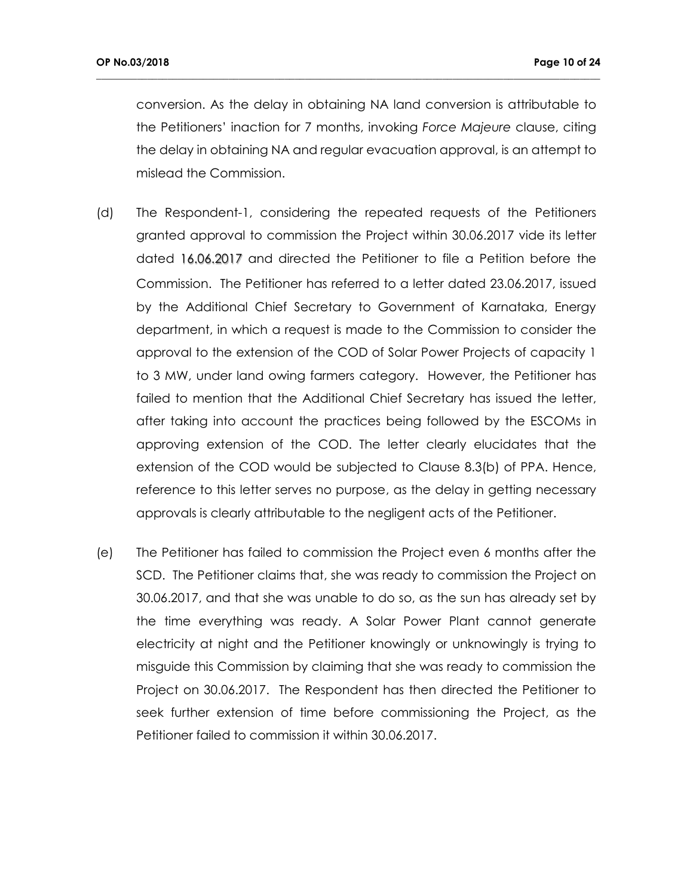conversion. As the delay in obtaining NA land conversion is attributable to the Petitioners' inaction for 7 months, invoking *Force Majeure* clause, citing the delay in obtaining NA and regular evacuation approval, is an attempt to mislead the Commission.

- (d) The Respondent-1, considering the repeated requests of the Petitioners granted approval to commission the Project within 30.06.2017 vide its letter dated 16.06.2017 and directed the Petitioner to file a Petition before the Commission. The Petitioner has referred to a letter dated 23.06.2017, issued by the Additional Chief Secretary to Government of Karnataka, Energy department, in which a request is made to the Commission to consider the approval to the extension of the COD of Solar Power Projects of capacity 1 to 3 MW, under land owing farmers category. However, the Petitioner has failed to mention that the Additional Chief Secretary has issued the letter, after taking into account the practices being followed by the ESCOMs in approving extension of the COD. The letter clearly elucidates that the extension of the COD would be subjected to Clause 8.3(b) of PPA. Hence, reference to this letter serves no purpose, as the delay in getting necessary approvals is clearly attributable to the negligent acts of the Petitioner.
- (e) The Petitioner has failed to commission the Project even 6 months after the SCD. The Petitioner claims that, she was ready to commission the Project on 30.06.2017, and that she was unable to do so, as the sun has already set by the time everything was ready. A Solar Power Plant cannot generate electricity at night and the Petitioner knowingly or unknowingly is trying to misguide this Commission by claiming that she was ready to commission the Project on 30.06.2017. The Respondent has then directed the Petitioner to seek further extension of time before commissioning the Project, as the Petitioner failed to commission it within 30.06.2017.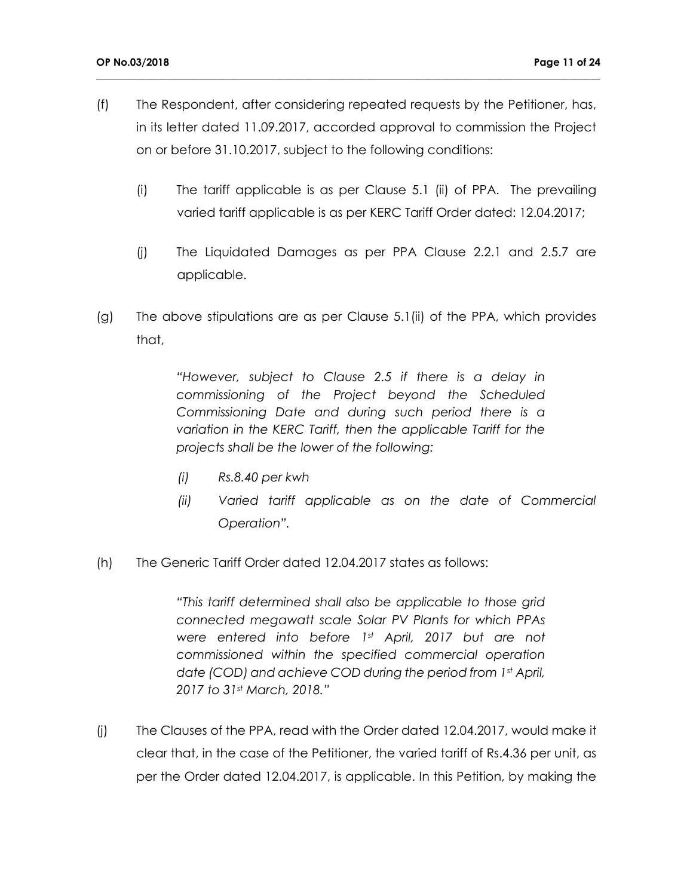(f) The Respondent, after considering repeated requests by the Petitioner, has, in its letter dated 11.09.2017, accorded approval to commission the Project on or before 31.10.2017, subject to the following conditions:

**\_\_\_\_\_\_\_\_\_\_\_\_\_\_\_\_\_\_\_\_\_\_\_\_\_\_\_\_\_\_\_\_\_\_\_\_\_\_\_\_\_\_\_\_\_\_\_\_\_\_\_\_\_\_\_\_\_\_\_\_\_\_\_\_\_\_\_\_\_\_\_\_\_\_\_\_\_\_\_\_\_\_\_\_\_\_\_\_\_\_\_\_\_\_\_\_\_\_\_**

- (i) The tariff applicable is as per Clause 5.1 (ii) of PPA. The prevailing varied tariff applicable is as per KERC Tariff Order dated: 12.04.2017;
- (j) The Liquidated Damages as per PPA Clause 2.2.1 and 2.5.7 are applicable.
- (g) The above stipulations are as per Clause 5.1(ii) of the PPA, which provides that,

*"However, subject to Clause 2.5 if there is a delay in commissioning of the Project beyond the Scheduled Commissioning Date and during such period there is a variation in the KERC Tariff, then the applicable Tariff for the projects shall be the lower of the following:*

- *(i) Rs.8.40 per kwh*
- *(ii) Varied tariff applicable as on the date of Commercial Operation".*
- (h) The Generic Tariff Order dated 12.04.2017 states as follows:

*"This tariff determined shall also be applicable to those grid connected megawatt scale Solar PV Plants for which PPAs were entered into before 1st April, 2017 but are not commissioned within the specified commercial operation date (COD) and achieve COD during the period from 1st April, 2017 to 31st March, 2018."*

(j) The Clauses of the PPA, read with the Order dated 12.04.2017, would make it clear that, in the case of the Petitioner, the varied tariff of Rs.4.36 per unit, as per the Order dated 12.04.2017, is applicable. In this Petition, by making the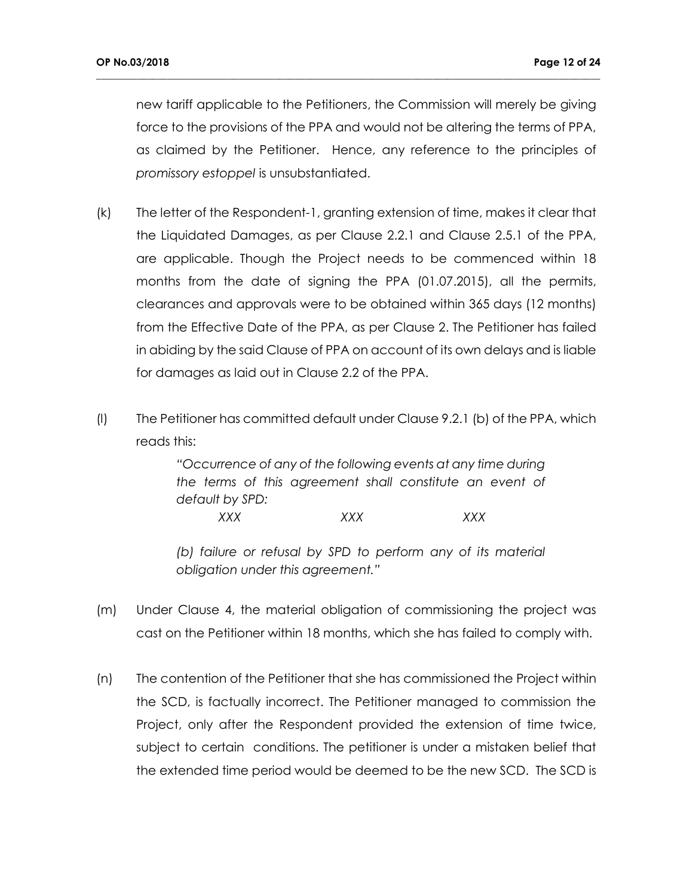new tariff applicable to the Petitioners, the Commission will merely be giving force to the provisions of the PPA and would not be altering the terms of PPA, as claimed by the Petitioner. Hence, any reference to the principles of *promissory estoppel* is unsubstantiated.

**\_\_\_\_\_\_\_\_\_\_\_\_\_\_\_\_\_\_\_\_\_\_\_\_\_\_\_\_\_\_\_\_\_\_\_\_\_\_\_\_\_\_\_\_\_\_\_\_\_\_\_\_\_\_\_\_\_\_\_\_\_\_\_\_\_\_\_\_\_\_\_\_\_\_\_\_\_\_\_\_\_\_\_\_\_\_\_\_\_\_\_\_\_\_\_\_\_\_\_**

- (k) The letter of the Respondent-1, granting extension of time, makes it clear that the Liquidated Damages, as per Clause 2.2.1 and Clause 2.5.1 of the PPA, are applicable. Though the Project needs to be commenced within 18 months from the date of signing the PPA (01.07.2015), all the permits, clearances and approvals were to be obtained within 365 days (12 months) from the Effective Date of the PPA, as per Clause 2. The Petitioner has failed in abiding by the said Clause of PPA on account of its own delays and is liable for damages as laid out in Clause 2.2 of the PPA.
- (l) The Petitioner has committed default under Clause 9.2.1 (b) of the PPA, which reads this:

*"Occurrence of any of the following events at any time during the terms of this agreement shall constitute an event of default by SPD:*

*XXX XXX XXX*

*(b) failure or refusal by SPD to perform any of its material obligation under this agreement."*

- (m) Under Clause 4, the material obligation of commissioning the project was cast on the Petitioner within 18 months, which she has failed to comply with.
- (n) The contention of the Petitioner that she has commissioned the Project within the SCD, is factually incorrect. The Petitioner managed to commission the Project, only after the Respondent provided the extension of time twice, subject to certain conditions. The petitioner is under a mistaken belief that the extended time period would be deemed to be the new SCD. The SCD is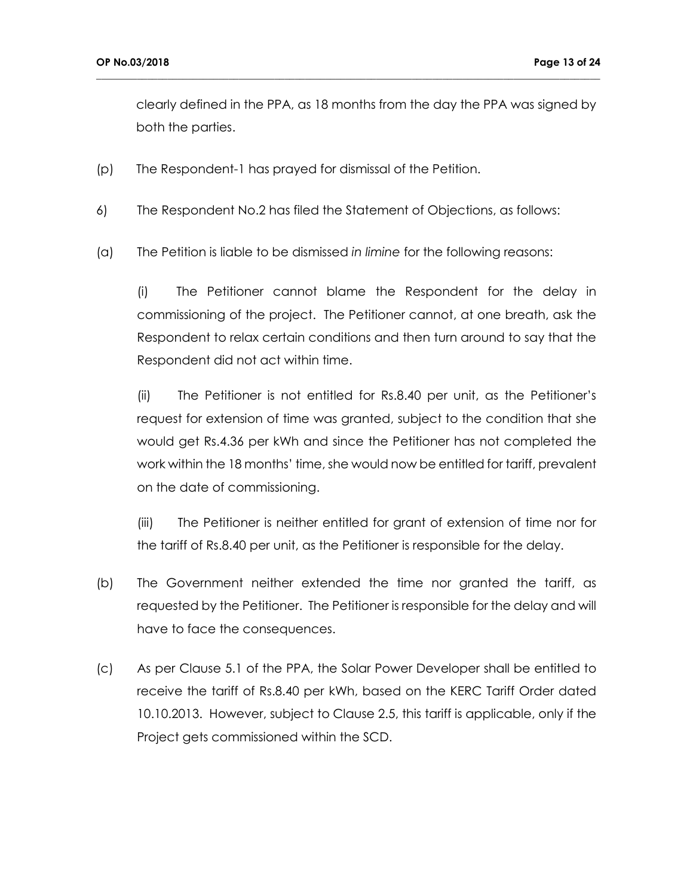clearly defined in the PPA, as 18 months from the day the PPA was signed by both the parties.

**\_\_\_\_\_\_\_\_\_\_\_\_\_\_\_\_\_\_\_\_\_\_\_\_\_\_\_\_\_\_\_\_\_\_\_\_\_\_\_\_\_\_\_\_\_\_\_\_\_\_\_\_\_\_\_\_\_\_\_\_\_\_\_\_\_\_\_\_\_\_\_\_\_\_\_\_\_\_\_\_\_\_\_\_\_\_\_\_\_\_\_\_\_\_\_\_\_\_\_**

- (p) The Respondent-1 has prayed for dismissal of the Petition.
- 6) The Respondent No.2 has filed the Statement of Objections, as follows:
- (a) The Petition is liable to be dismissed *in limine* for the following reasons:

(i) The Petitioner cannot blame the Respondent for the delay in commissioning of the project. The Petitioner cannot, at one breath, ask the Respondent to relax certain conditions and then turn around to say that the Respondent did not act within time.

(ii) The Petitioner is not entitled for Rs.8.40 per unit, as the Petitioner's request for extension of time was granted, subject to the condition that she would get Rs.4.36 per kWh and since the Petitioner has not completed the work within the 18 months' time, she would now be entitled for tariff, prevalent on the date of commissioning.

(iii) The Petitioner is neither entitled for grant of extension of time nor for the tariff of Rs.8.40 per unit, as the Petitioner is responsible for the delay.

- (b) The Government neither extended the time nor granted the tariff, as requested by the Petitioner. The Petitioner is responsible for the delay and will have to face the consequences.
- (c) As per Clause 5.1 of the PPA, the Solar Power Developer shall be entitled to receive the tariff of Rs.8.40 per kWh, based on the KERC Tariff Order dated 10.10.2013. However, subject to Clause 2.5, this tariff is applicable, only if the Project gets commissioned within the SCD.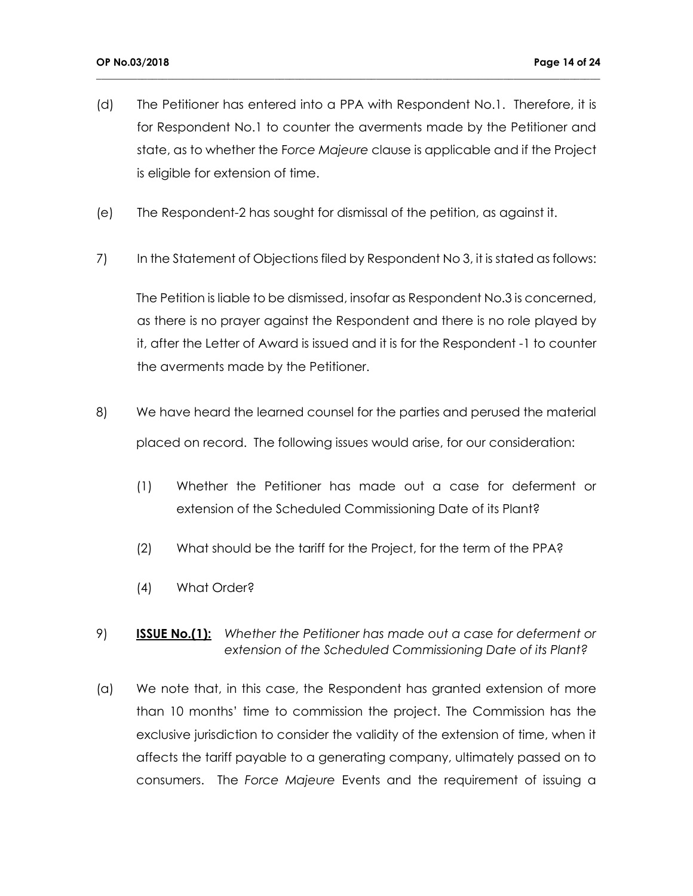(d) The Petitioner has entered into a PPA with Respondent No.1. Therefore, it is for Respondent No.1 to counter the averments made by the Petitioner and state, as to whether the F*orce Majeure* clause is applicable and if the Project is eligible for extension of time.

**\_\_\_\_\_\_\_\_\_\_\_\_\_\_\_\_\_\_\_\_\_\_\_\_\_\_\_\_\_\_\_\_\_\_\_\_\_\_\_\_\_\_\_\_\_\_\_\_\_\_\_\_\_\_\_\_\_\_\_\_\_\_\_\_\_\_\_\_\_\_\_\_\_\_\_\_\_\_\_\_\_\_\_\_\_\_\_\_\_\_\_\_\_\_\_\_\_\_\_**

- (e) The Respondent-2 has sought for dismissal of the petition, as against it.
- 7) In the Statement of Objections filed by Respondent No 3, it is stated as follows:

The Petition is liable to be dismissed, insofar as Respondent No.3 is concerned, as there is no prayer against the Respondent and there is no role played by it, after the Letter of Award is issued and it is for the Respondent -1 to counter the averments made by the Petitioner.

- 8) We have heard the learned counsel for the parties and perused the material placed on record. The following issues would arise, for our consideration:
	- (1) Whether the Petitioner has made out a case for deferment or extension of the Scheduled Commissioning Date of its Plant?
	- (2) What should be the tariff for the Project, for the term of the PPA?
	- (4) What Order?
- 9) **ISSUE No.(1):** *Whether the Petitioner has made out a case for deferment or extension of the Scheduled Commissioning Date of its Plant?*
- (a) We note that, in this case, the Respondent has granted extension of more than 10 months' time to commission the project. The Commission has the exclusive jurisdiction to consider the validity of the extension of time, when it affects the tariff payable to a generating company, ultimately passed on to consumers. The *Force Majeure* Events and the requirement of issuing a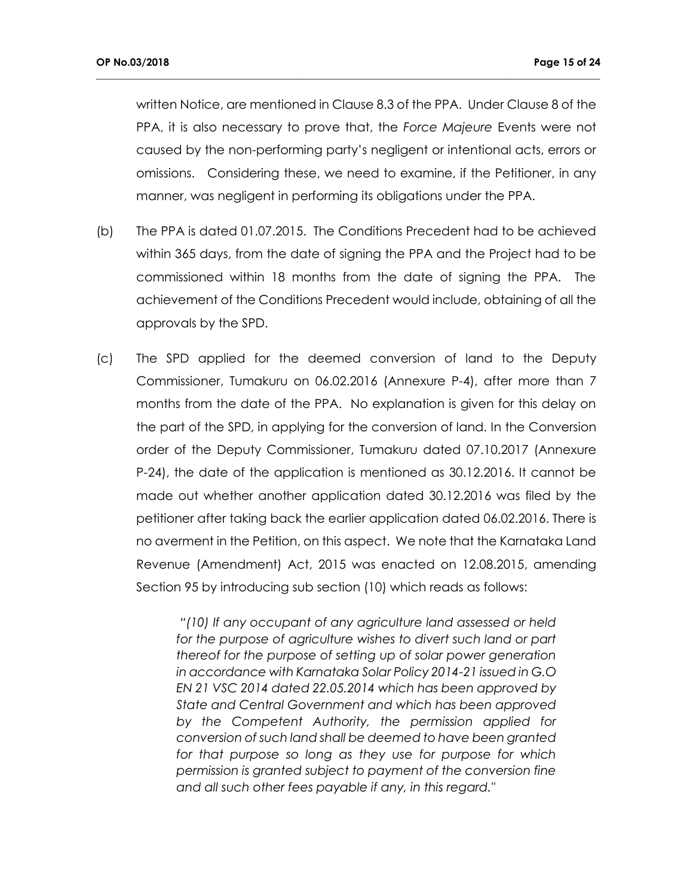written Notice, are mentioned in Clause 8.3 of the PPA. Under Clause 8 of the PPA, it is also necessary to prove that, the *Force Majeure* Events were not caused by the non-performing party's negligent or intentional acts, errors or omissions. Considering these, we need to examine, if the Petitioner, in any manner, was negligent in performing its obligations under the PPA.

**\_\_\_\_\_\_\_\_\_\_\_\_\_\_\_\_\_\_\_\_\_\_\_\_\_\_\_\_\_\_\_\_\_\_\_\_\_\_\_\_\_\_\_\_\_\_\_\_\_\_\_\_\_\_\_\_\_\_\_\_\_\_\_\_\_\_\_\_\_\_\_\_\_\_\_\_\_\_\_\_\_\_\_\_\_\_\_\_\_\_\_\_\_\_\_\_\_\_\_**

- (b) The PPA is dated 01.07.2015. The Conditions Precedent had to be achieved within 365 days, from the date of signing the PPA and the Project had to be commissioned within 18 months from the date of signing the PPA. The achievement of the Conditions Precedent would include, obtaining of all the approvals by the SPD.
- (c) The SPD applied for the deemed conversion of land to the Deputy Commissioner, Tumakuru on 06.02.2016 (Annexure P-4), after more than 7 months from the date of the PPA. No explanation is given for this delay on the part of the SPD, in applying for the conversion of land. In the Conversion order of the Deputy Commissioner, Tumakuru dated 07.10.2017 (Annexure P-24), the date of the application is mentioned as 30.12.2016. It cannot be made out whether another application dated 30.12.2016 was filed by the petitioner after taking back the earlier application dated 06.02.2016. There is no averment in the Petition, on this aspect. We note that the Karnataka Land Revenue (Amendment) Act, 2015 was enacted on 12.08.2015, amending Section 95 by introducing sub section (10) which reads as follows:

*"(10) If any occupant of any agriculture land assessed or held*  for the purpose of agriculture wishes to divert such land or part *thereof for the purpose of setting up of solar power generation in accordance with Karnataka Solar Policy 2014-21 issued in G.O EN 21 VSC 2014 dated 22.05.2014 which has been approved by State and Central Government and which has been approved by the Competent Authority, the permission applied for conversion of such land shall be deemed to have been granted for that purpose so long as they use for purpose for which permission is granted subject to payment of the conversion fine and all such other fees payable if any, in this regard."*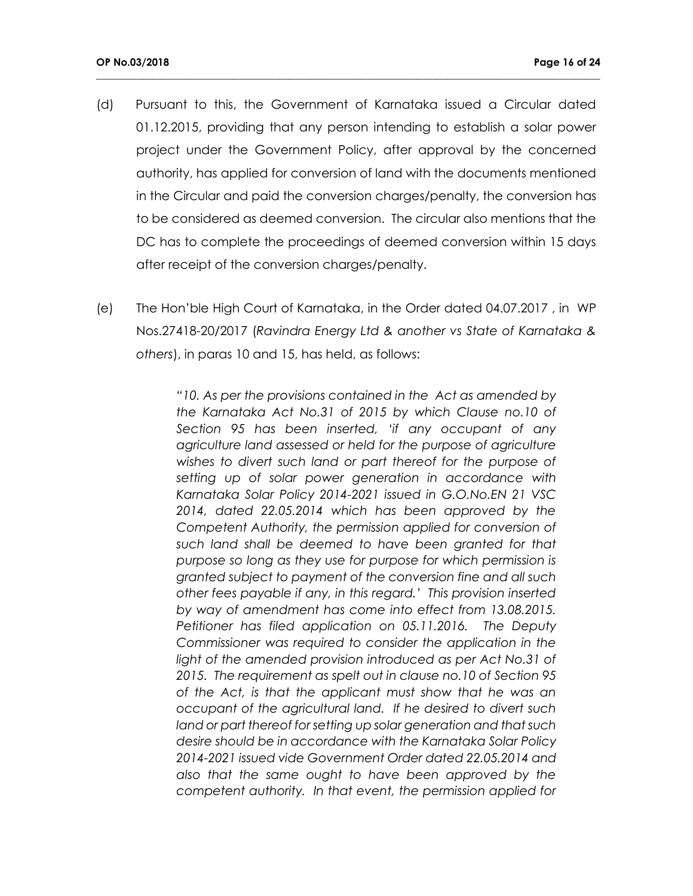(d)Pursuant to this, the Government of Karnataka issued a Circular dated 01.12.2015, providing that any person intending to establish a solar power project under the Government Policy, after approval by the concerned authority, has applied for conversion of land with the documents mentioned in the Circular and paid the conversion charges/penalty, the conversion has to be considered as deemed conversion. The circular also mentions that the DC has to complete the proceedings of deemed conversion within 15 days after receipt of the conversion charges/penalty.

**\_\_\_\_\_\_\_\_\_\_\_\_\_\_\_\_\_\_\_\_\_\_\_\_\_\_\_\_\_\_\_\_\_\_\_\_\_\_\_\_\_\_\_\_\_\_\_\_\_\_\_\_\_\_\_\_\_\_\_\_\_\_\_\_\_\_\_\_\_\_\_\_\_\_\_\_\_\_\_\_\_\_\_\_\_\_\_\_\_\_\_\_\_\_\_\_\_\_\_**

(e) The Hon'ble High Court of Karnataka, in the Order dated 04.07.2017 , in WP Nos.27418-20/2017 (*Ravindra Energy Ltd & another vs State of Karnataka & others*), in paras 10 and 15, has held, as follows:

> *"10. As per the provisions contained in the Act as amended by the Karnataka Act No.31 of 2015 by which Clause no.10 of Section 95 has been inserted, 'if any occupant of any agriculture land assessed or held for the purpose of agriculture wishes to divert such land or part thereof for the purpose of setting up of solar power generation in accordance with Karnataka Solar Policy 2014-2021 issued in G.O.No.EN 21 VSC 2014, dated 22.05.2014 which has been approved by the Competent Authority, the permission applied for conversion of such land shall be deemed to have been granted for that purpose so long as they use for purpose for which permission is granted subject to payment of the conversion fine and all such other fees payable if any, in this regard.' This provision inserted by way of amendment has come into effect from 13.08.2015. Petitioner has filed application on 05.11.2016. The Deputy Commissioner was required to consider the application in the*  light of the amended provision introduced as per Act No.31 of *2015. The requirement as spelt out in clause no.10 of Section 95 of the Act, is that the applicant must show that he was an occupant of the agricultural land. If he desired to divert such land or part thereof for setting up solar generation and that such desire should be in accordance with the Karnataka Solar Policy 2014-2021 issued vide Government Order dated 22.05.2014 and also that the same ought to have been approved by the competent authority. In that event, the permission applied for*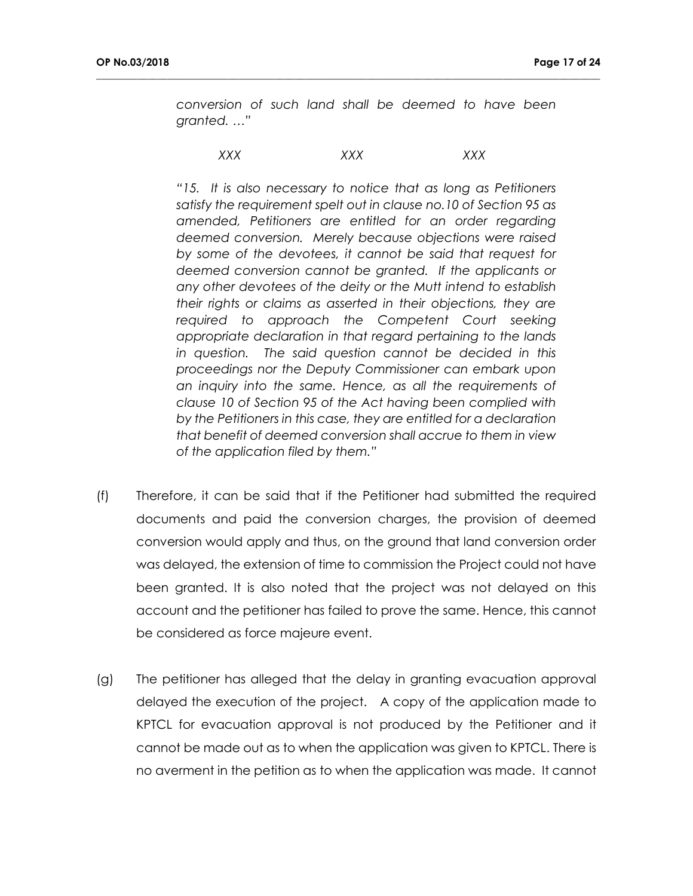*conversion of such land shall be deemed to have been granted. …"*

#### *XXX XXX XXX*

**\_\_\_\_\_\_\_\_\_\_\_\_\_\_\_\_\_\_\_\_\_\_\_\_\_\_\_\_\_\_\_\_\_\_\_\_\_\_\_\_\_\_\_\_\_\_\_\_\_\_\_\_\_\_\_\_\_\_\_\_\_\_\_\_\_\_\_\_\_\_\_\_\_\_\_\_\_\_\_\_\_\_\_\_\_\_\_\_\_\_\_\_\_\_\_\_\_\_\_**

*"15. It is also necessary to notice that as long as Petitioners satisfy the requirement spelt out in clause no.10 of Section 95 as amended, Petitioners are entitled for an order regarding deemed conversion. Merely because objections were raised by some of the devotees, it cannot be said that request for deemed conversion cannot be granted. If the applicants or any other devotees of the deity or the Mutt intend to establish their rights or claims as asserted in their objections, they are required to approach the Competent Court seeking appropriate declaration in that regard pertaining to the lands in question. The said question cannot be decided in this proceedings nor the Deputy Commissioner can embark upon an inquiry into the same. Hence, as all the requirements of clause 10 of Section 95 of the Act having been complied with by the Petitioners in this case, they are entitled for a declaration that benefit of deemed conversion shall accrue to them in view of the application filed by them."* 

- (f) Therefore, it can be said that if the Petitioner had submitted the required documents and paid the conversion charges, the provision of deemed conversion would apply and thus, on the ground that land conversion order was delayed, the extension of time to commission the Project could not have been granted. It is also noted that the project was not delayed on this account and the petitioner has failed to prove the same. Hence, this cannot be considered as force majeure event.
- (g) The petitioner has alleged that the delay in granting evacuation approval delayed the execution of the project. A copy of the application made to KPTCL for evacuation approval is not produced by the Petitioner and it cannot be made out as to when the application was given to KPTCL. There is no averment in the petition as to when the application was made. It cannot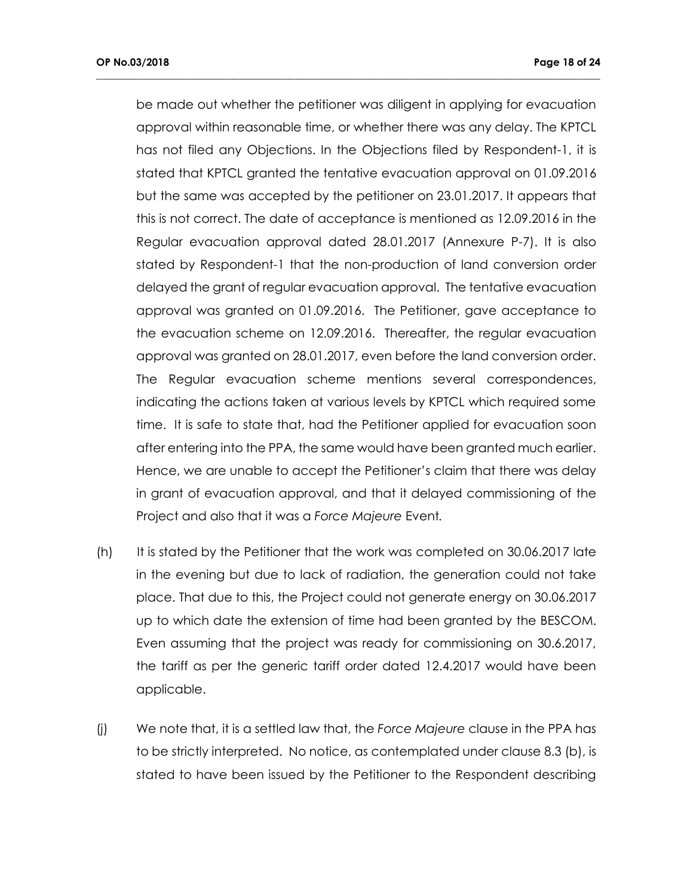be made out whether the petitioner was diligent in applying for evacuation approval within reasonable time, or whether there was any delay. The KPTCL has not filed any Objections. In the Objections filed by Respondent-1, it is stated that KPTCL granted the tentative evacuation approval on 01.09.2016 but the same was accepted by the petitioner on 23.01.2017. It appears that this is not correct. The date of acceptance is mentioned as 12.09.2016 in the Regular evacuation approval dated 28.01.2017 (Annexure P-7). It is also stated by Respondent-1 that the non-production of land conversion order delayed the grant of regular evacuation approval. The tentative evacuation approval was granted on 01.09.2016. The Petitioner, gave acceptance to the evacuation scheme on 12.09.2016. Thereafter, the regular evacuation approval was granted on 28.01.2017, even before the land conversion order. The Regular evacuation scheme mentions several correspondences, indicating the actions taken at various levels by KPTCL which required some time. It is safe to state that, had the Petitioner applied for evacuation soon after entering into the PPA, the same would have been granted much earlier. Hence, we are unable to accept the Petitioner's claim that there was delay in grant of evacuation approval, and that it delayed commissioning of the Project and also that it was a *Force Majeure* Event*.*

- (h) It is stated by the Petitioner that the work was completed on 30.06.2017 late in the evening but due to lack of radiation, the generation could not take place. That due to this, the Project could not generate energy on 30.06.2017 up to which date the extension of time had been granted by the BESCOM. Even assuming that the project was ready for commissioning on 30.6.2017, the tariff as per the generic tariff order dated 12.4.2017 would have been applicable.
- (j) We note that, it is a settled law that, the *Force Majeure* clause in the PPA has to be strictly interpreted. No notice, as contemplated under clause 8.3 (b), is stated to have been issued by the Petitioner to the Respondent describing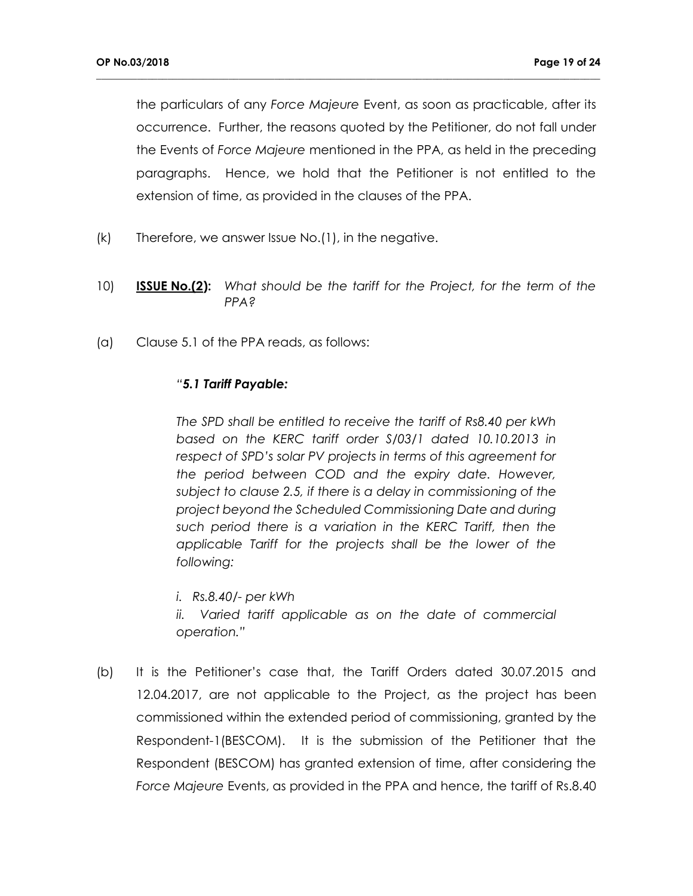the particulars of any *Force Majeure* Event, as soon as practicable, after its occurrence. Further, the reasons quoted by the Petitioner, do not fall under the Events of *Force Majeure* mentioned in the PPA, as held in the preceding paragraphs. Hence, we hold that the Petitioner is not entitled to the extension of time, as provided in the clauses of the PPA.

**\_\_\_\_\_\_\_\_\_\_\_\_\_\_\_\_\_\_\_\_\_\_\_\_\_\_\_\_\_\_\_\_\_\_\_\_\_\_\_\_\_\_\_\_\_\_\_\_\_\_\_\_\_\_\_\_\_\_\_\_\_\_\_\_\_\_\_\_\_\_\_\_\_\_\_\_\_\_\_\_\_\_\_\_\_\_\_\_\_\_\_\_\_\_\_\_\_\_\_**

- (k) Therefore, we answer Issue No.(1), in the negative.
- 10) **ISSUE No.(2):** *What should be the tariff for the Project, for the term of the PPA?*
- (a) Clause 5.1 of the PPA reads, as follows:

## *"5.1 Tariff Payable:*

*The SPD shall be entitled to receive the tariff of Rs8.40 per kWh based on the KERC tariff order S/03/1 dated 10.10.2013 in respect of SPD's solar PV projects in terms of this agreement for the period between COD and the expiry date. However, subject to clause 2.5, if there is a delay in commissioning of the project beyond the Scheduled Commissioning Date and during such period there is a variation in the KERC Tariff, then the applicable Tariff for the projects shall be the lower of the following:*

*i. Rs.8.40/- per kWh*

ii. Varied tariff applicable as on the date of commercial *operation."*

(b) It is the Petitioner's case that, the Tariff Orders dated 30.07.2015 and 12.04.2017, are not applicable to the Project, as the project has been commissioned within the extended period of commissioning, granted by the Respondent-1(BESCOM). It is the submission of the Petitioner that the Respondent (BESCOM) has granted extension of time, after considering the *Force Majeure* Events, as provided in the PPA and hence, the tariff of Rs.8.40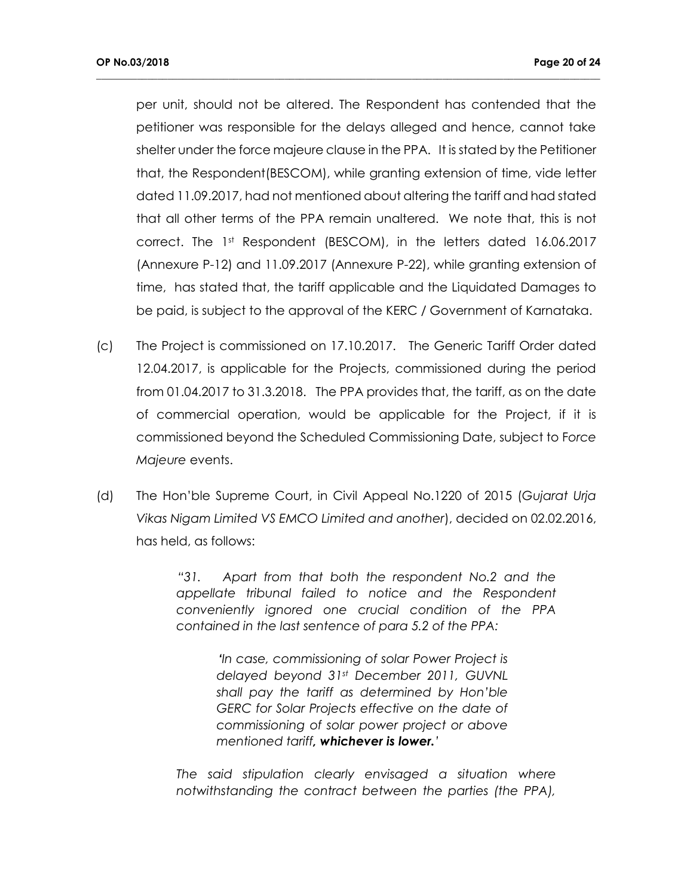per unit, should not be altered. The Respondent has contended that the petitioner was responsible for the delays alleged and hence, cannot take shelter under the force majeure clause in the PPA. It is stated by the Petitioner that, the Respondent(BESCOM), while granting extension of time, vide letter dated 11.09.2017, had not mentioned about altering the tariff and had stated that all other terms of the PPA remain unaltered. We note that, this is not correct. The 1st Respondent (BESCOM), in the letters dated 16.06.2017 (Annexure P-12) and 11.09.2017 (Annexure P-22), while granting extension of time, has stated that, the tariff applicable and the Liquidated Damages to be paid, is subject to the approval of the KERC / Government of Karnataka.

**\_\_\_\_\_\_\_\_\_\_\_\_\_\_\_\_\_\_\_\_\_\_\_\_\_\_\_\_\_\_\_\_\_\_\_\_\_\_\_\_\_\_\_\_\_\_\_\_\_\_\_\_\_\_\_\_\_\_\_\_\_\_\_\_\_\_\_\_\_\_\_\_\_\_\_\_\_\_\_\_\_\_\_\_\_\_\_\_\_\_\_\_\_\_\_\_\_\_\_**

- (c) The Project is commissioned on 17.10.2017. The Generic Tariff Order dated 12.04.2017, is applicable for the Projects, commissioned during the period from 01.04.2017 to 31.3.2018. The PPA provides that, the tariff, as on the date of commercial operation, would be applicable for the Project, if it is commissioned beyond the Scheduled Commissioning Date, subject to F*orce Majeure* events.
- (d) The Hon'ble Supreme Court, in Civil Appeal No.1220 of 2015 (*Gujarat Urja Vikas Nigam Limited VS EMCO Limited and another*), decided on 02.02.2016, has held, as follows:

*"31. Apart from that both the respondent No.2 and the appellate tribunal failed to notice and the Respondent conveniently ignored one crucial condition of the PPA contained in the last sentence of para 5.2 of the PPA:* 

> *'In case, commissioning of solar Power Project is delayed beyond 31st December 2011, GUVNL shall pay the tariff as determined by Hon'ble GERC for Solar Projects effective on the date of commissioning of solar power project or above mentioned tariff, whichever is lower.'*

*The said stipulation clearly envisaged a situation where notwithstanding the contract between the parties (the PPA),*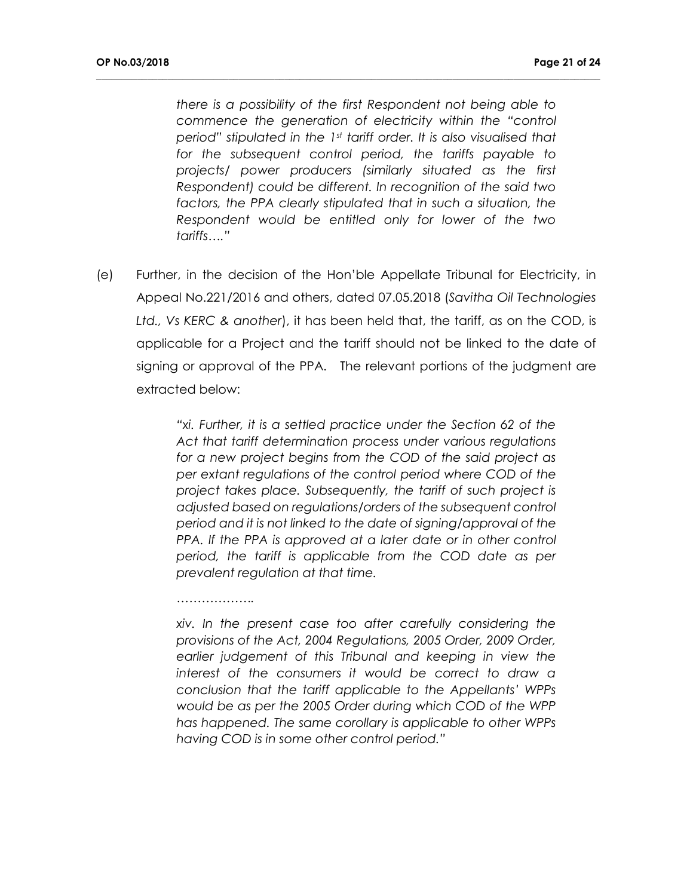*there is a possibility of the first Respondent not being able to commence the generation of electricity within the "control period" stipulated in the 1st tariff order. It is also visualised that for the subsequent control period, the tariffs payable to projects/ power producers (similarly situated as the first Respondent) could be different. In recognition of the said two*  factors, the PPA clearly stipulated that in such a situation, the *Respondent would be entitled only for lower of the two tariffs…."*

**\_\_\_\_\_\_\_\_\_\_\_\_\_\_\_\_\_\_\_\_\_\_\_\_\_\_\_\_\_\_\_\_\_\_\_\_\_\_\_\_\_\_\_\_\_\_\_\_\_\_\_\_\_\_\_\_\_\_\_\_\_\_\_\_\_\_\_\_\_\_\_\_\_\_\_\_\_\_\_\_\_\_\_\_\_\_\_\_\_\_\_\_\_\_\_\_\_\_\_**

(e) Further, in the decision of the Hon'ble Appellate Tribunal for Electricity, in Appeal No.221/2016 and others, dated 07.05.2018 (*Savitha Oil Technologies Ltd., Vs KERC & another*), it has been held that, the tariff, as on the COD, is applicable for a Project and the tariff should not be linked to the date of signing or approval of the PPA. The relevant portions of the judgment are extracted below:

> *"xi. Further, it is a settled practice under the Section 62 of the Act that tariff determination process under various regulations for a new project begins from the COD of the said project as per extant regulations of the control period where COD of the project takes place. Subsequently, the tariff of such project is adjusted based on regulations/orders of the subsequent control period and it is not linked to the date of signing/approval of the PPA. If the PPA is approved at a later date or in other control period, the tariff is applicable from the COD date as per prevalent regulation at that time.*

> *xiv. In the present case too after carefully considering the provisions of the Act, 2004 Regulations, 2005 Order, 2009 Order, earlier judgement of this Tribunal and keeping in view the interest of the consumers it would be correct to draw a conclusion that the tariff applicable to the Appellants' WPPs would be as per the 2005 Order during which COD of the WPP has happened. The same corollary is applicable to other WPPs having COD is in some other control period."*

*……………….*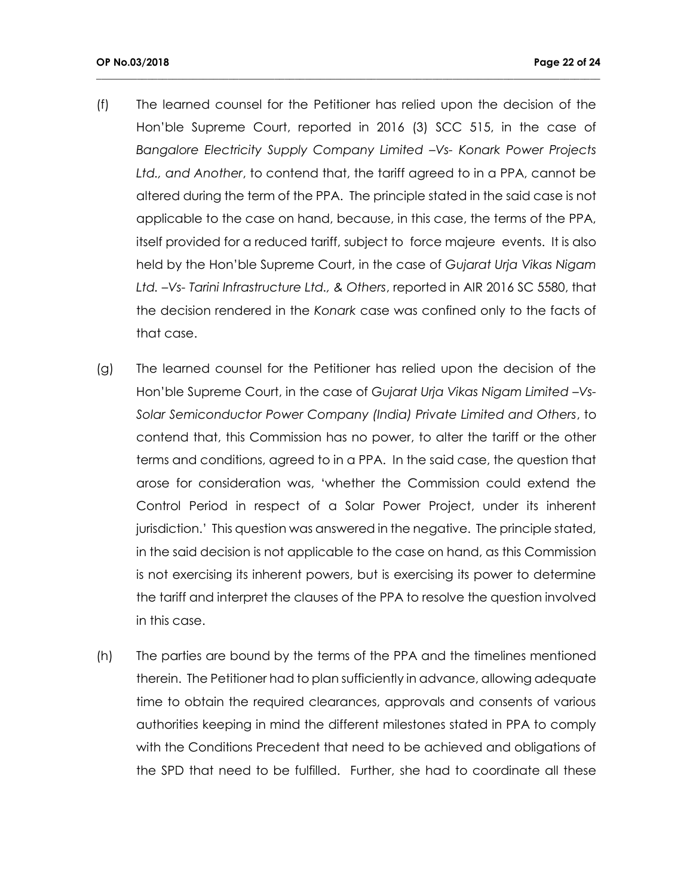(f) The learned counsel for the Petitioner has relied upon the decision of the Hon'ble Supreme Court, reported in 2016 (3) SCC 515, in the case of *Bangalore Electricity Supply Company Limited –Vs- Konark Power Projects Ltd., and Another*, to contend that, the tariff agreed to in a PPA, cannot be altered during the term of the PPA. The principle stated in the said case is not applicable to the case on hand, because, in this case, the terms of the PPA, itself provided for a reduced tariff, subject to force majeure events. It is also held by the Hon'ble Supreme Court, in the case of *Gujarat Urja Vikas Nigam Ltd. –Vs- Tarini Infrastructure Ltd., & Others*, reported in AIR 2016 SC 5580, that the decision rendered in the *Konark* case was confined only to the facts of that case.

- (g) The learned counsel for the Petitioner has relied upon the decision of the Hon'ble Supreme Court, in the case of *Gujarat Urja Vikas Nigam Limited –Vs-Solar Semiconductor Power Company (India) Private Limited and Others*, to contend that, this Commission has no power, to alter the tariff or the other terms and conditions, agreed to in a PPA. In the said case, the question that arose for consideration was, 'whether the Commission could extend the Control Period in respect of a Solar Power Project, under its inherent jurisdiction.' This question was answered in the negative. The principle stated, in the said decision is not applicable to the case on hand, as this Commission is not exercising its inherent powers, but is exercising its power to determine the tariff and interpret the clauses of the PPA to resolve the question involved in this case.
- (h) The parties are bound by the terms of the PPA and the timelines mentioned therein. The Petitioner had to plan sufficiently in advance, allowing adequate time to obtain the required clearances, approvals and consents of various authorities keeping in mind the different milestones stated in PPA to comply with the Conditions Precedent that need to be achieved and obligations of the SPD that need to be fulfilled. Further, she had to coordinate all these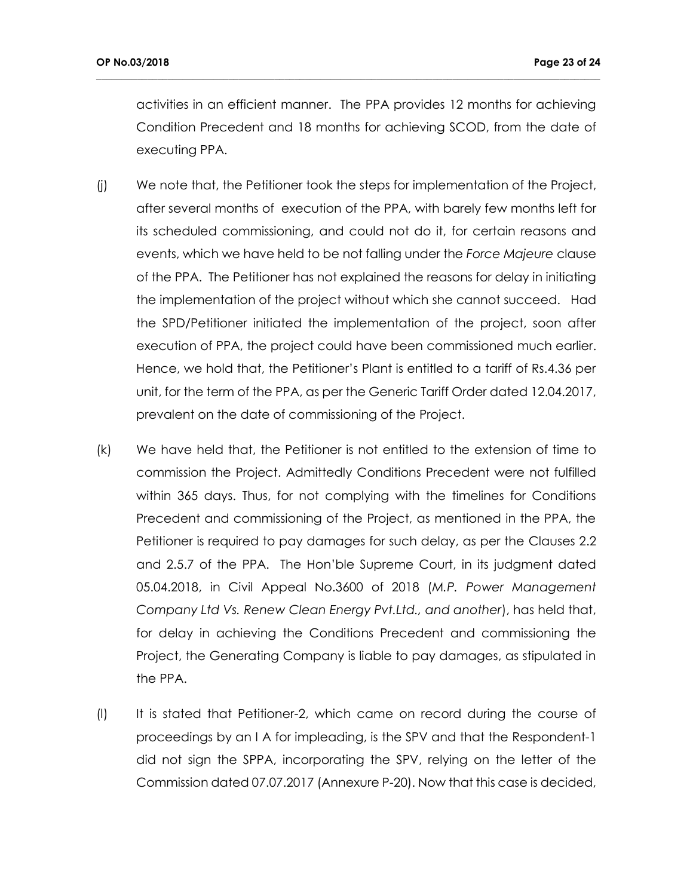activities in an efficient manner. The PPA provides 12 months for achieving Condition Precedent and 18 months for achieving SCOD, from the date of executing PPA.

- (j) We note that, the Petitioner took the steps for implementation of the Project, after several months of execution of the PPA, with barely few months left for its scheduled commissioning, and could not do it, for certain reasons and events, which we have held to be not falling under the *Force Majeure* clause of the PPA. The Petitioner has not explained the reasons for delay in initiating the implementation of the project without which she cannot succeed. Had the SPD/Petitioner initiated the implementation of the project, soon after execution of PPA, the project could have been commissioned much earlier. Hence, we hold that, the Petitioner's Plant is entitled to a tariff of Rs.4.36 per unit, for the term of the PPA, as per the Generic Tariff Order dated 12.04.2017, prevalent on the date of commissioning of the Project.
- (k) We have held that, the Petitioner is not entitled to the extension of time to commission the Project. Admittedly Conditions Precedent were not fulfilled within 365 days. Thus, for not complying with the timelines for Conditions Precedent and commissioning of the Project, as mentioned in the PPA, the Petitioner is required to pay damages for such delay, as per the Clauses 2.2 and 2.5.7 of the PPA. The Hon'ble Supreme Court, in its judgment dated 05.04.2018, in Civil Appeal No.3600 of 2018 (*M.P. Power Management Company Ltd Vs. Renew Clean Energy Pvt.Ltd., and another*), has held that, for delay in achieving the Conditions Precedent and commissioning the Project, the Generating Company is liable to pay damages, as stipulated in the PPA.
- (l) It is stated that Petitioner-2, which came on record during the course of proceedings by an I A for impleading, is the SPV and that the Respondent-1 did not sign the SPPA, incorporating the SPV, relying on the letter of the Commission dated 07.07.2017 (Annexure P-20). Now that this case is decided,